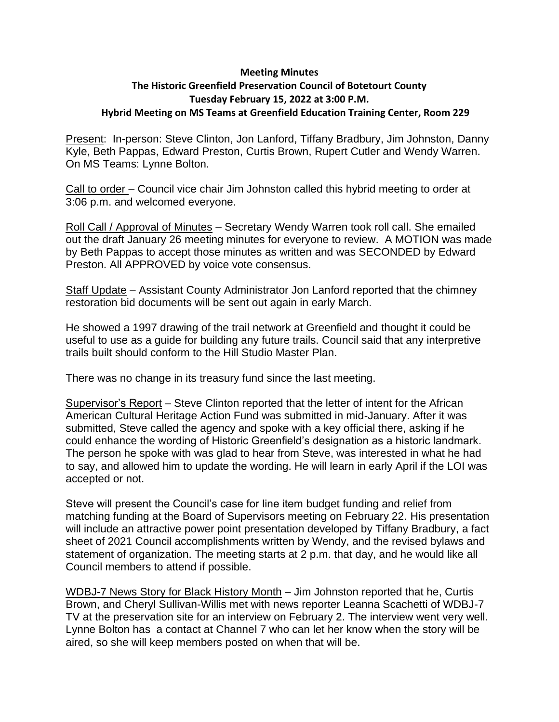## **Meeting Minutes**

## **The Historic Greenfield Preservation Council of Botetourt County Tuesday February 15, 2022 at 3:00 P.M. Hybrid Meeting on MS Teams at Greenfield Education Training Center, Room 229**

Present: In-person: Steve Clinton, Jon Lanford, Tiffany Bradbury, Jim Johnston, Danny Kyle, Beth Pappas, Edward Preston, Curtis Brown, Rupert Cutler and Wendy Warren. On MS Teams: Lynne Bolton.

Call to order – Council vice chair Jim Johnston called this hybrid meeting to order at 3:06 p.m. and welcomed everyone.

Roll Call / Approval of Minutes – Secretary Wendy Warren took roll call. She emailed out the draft January 26 meeting minutes for everyone to review. A MOTION was made by Beth Pappas to accept those minutes as written and was SECONDED by Edward Preston. All APPROVED by voice vote consensus.

Staff Update – Assistant County Administrator Jon Lanford reported that the chimney restoration bid documents will be sent out again in early March.

He showed a 1997 drawing of the trail network at Greenfield and thought it could be useful to use as a guide for building any future trails. Council said that any interpretive trails built should conform to the Hill Studio Master Plan.

There was no change in its treasury fund since the last meeting.

Supervisor's Report – Steve Clinton reported that the letter of intent for the African American Cultural Heritage Action Fund was submitted in mid-January. After it was submitted, Steve called the agency and spoke with a key official there, asking if he could enhance the wording of Historic Greenfield's designation as a historic landmark. The person he spoke with was glad to hear from Steve, was interested in what he had to say, and allowed him to update the wording. He will learn in early April if the LOI was accepted or not.

Steve will present the Council's case for line item budget funding and relief from matching funding at the Board of Supervisors meeting on February 22. His presentation will include an attractive power point presentation developed by Tiffany Bradbury, a fact sheet of 2021 Council accomplishments written by Wendy, and the revised bylaws and statement of organization. The meeting starts at 2 p.m. that day, and he would like all Council members to attend if possible.

WDBJ-7 News Story for Black History Month – Jim Johnston reported that he, Curtis Brown, and Cheryl Sullivan-Willis met with news reporter Leanna Scachetti of WDBJ-7 TV at the preservation site for an interview on February 2. The interview went very well. Lynne Bolton has a contact at Channel 7 who can let her know when the story will be aired, so she will keep members posted on when that will be.